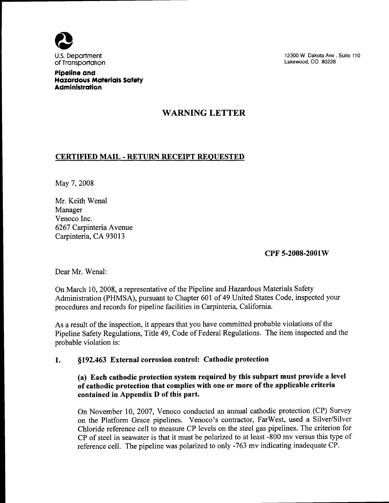

12300 W Dakota Ave, Suite 110 Lakewood, CO 80228

Pipeline and Hazardous Materials Safety **Administration** 

## WARNING LETTER

## CERTIFIED MAIL - RETURN RECEIPT REQUESTED

May 7, 2008

Mr. Keith Wenal Manager Venoco Inc. 6267 Carpinteria Avenue Carpinteria, CA 93013

CPF 5-2008-2001W

Dear Mr. Wenal:

On March 10, 2008, a representative of the Pipeline and Hazardous Materials Safety Administration (PHMSA), pursuant to Chapter 601 of 49 United States Code, inspected your procedures and records for pipeline facilities in Carpinteria, California.

As a result of the inspection, it appears that you have committed probable violations of the Pipeline Safety Regulations, Title 49, Code of Federal Regulations. The item inspected and the probable violation is:

## 1. \$192. 463 External corrosion control: Cathodic protection

## (a) Each cathodic protection system required by this subpart must provide a level of cathodic protection that complies with one or more of the applicable criteria contained in Appendix D of this part.

On November 10, 2007, Venoco conducted an annual cathodic protection (CP) Survey on the Platform Grace pipelines. Venoco's contractor, FarWest, used a Silver/Silver Chloride reference cell to measure CP levels on the steel gas pipelines. The criterion for CP of steel in seawater is that it must be polarized to at least -800 mv versus this type of reference cell. The pipeline was polarized to only -763 mv indicating inadequate CP.